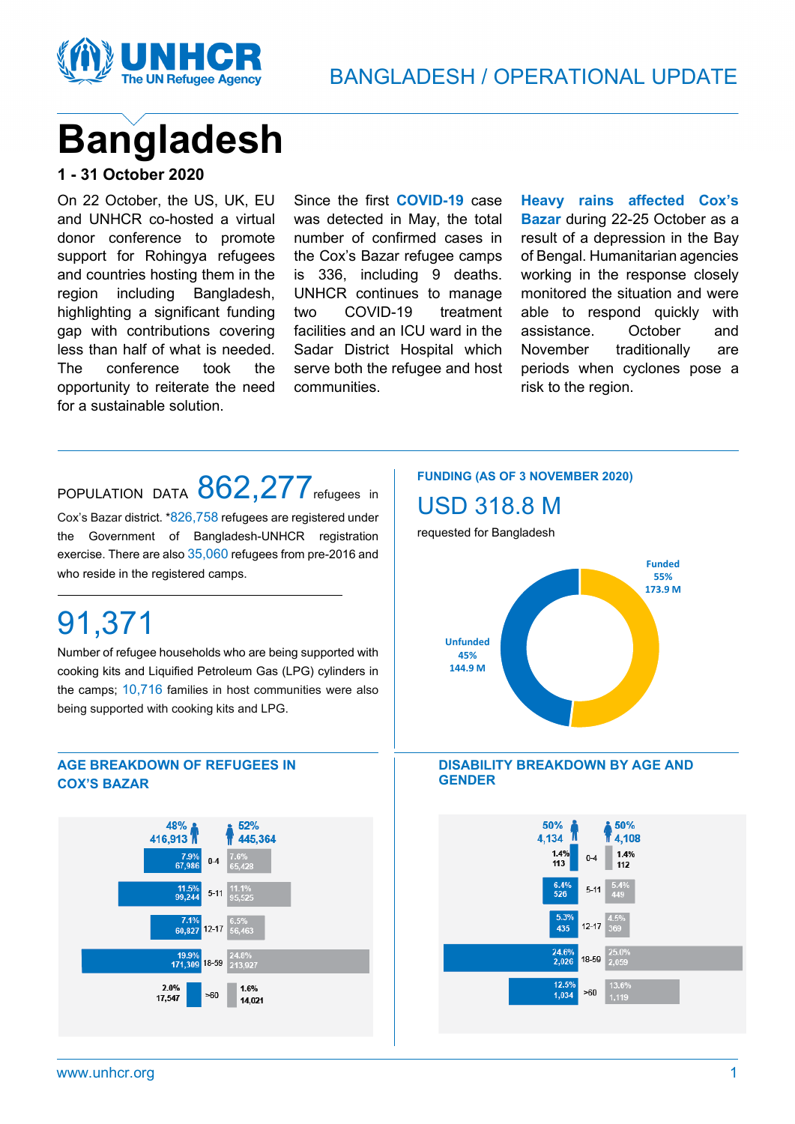

# **Bangladesh**

#### **1 - 31 October 2020**

On 22 October, the US, UK, EU and UNHCR co-hosted a virtual donor conference to promote support for Rohingya refugees and countries hosting them in the region including Bangladesh, highlighting a significant funding gap with contributions covering less than half of what is needed. The conference took the opportunity to reiterate the need for a sustainable solution.

Since the first **COVID-19** case was detected in May, the total number of confirmed cases in the Cox's Bazar refugee camps is 336, including 9 deaths. UNHCR continues to manage two COVID-19 treatment facilities and an ICU ward in the Sadar District Hospital which serve both the refugee and host communities.

**Heavy rains affected Cox's Bazar** during 22-25 October as a result of a depression in the Bay of Bengal. Humanitarian agencies working in the response closely monitored the situation and were able to respond quickly with assistance. October and November traditionally are periods when cyclones pose a risk to the region.

## POPULATION DATA 862,277 refugees in

Cox's Bazar district. \*826,758 refugees are registered under the Government of Bangladesh-UNHCR registration exercise. There are also 35,060 refugees from pre-2016 and who reside in the registered camps.

## 91,371

Number of refugee households who are being supported with cooking kits and Liquified Petroleum Gas (LPG) cylinders in the camps; 10,716 families in host communities were also being supported with cooking kits and LPG.

#### **AGE BREAKDOWN OF REFUGEES IN COX'S BAZAR**



#### **FUNDING (AS OF 3 NOVEMBER 2020)**

### USD 318.8 M

requested for Bangladesh





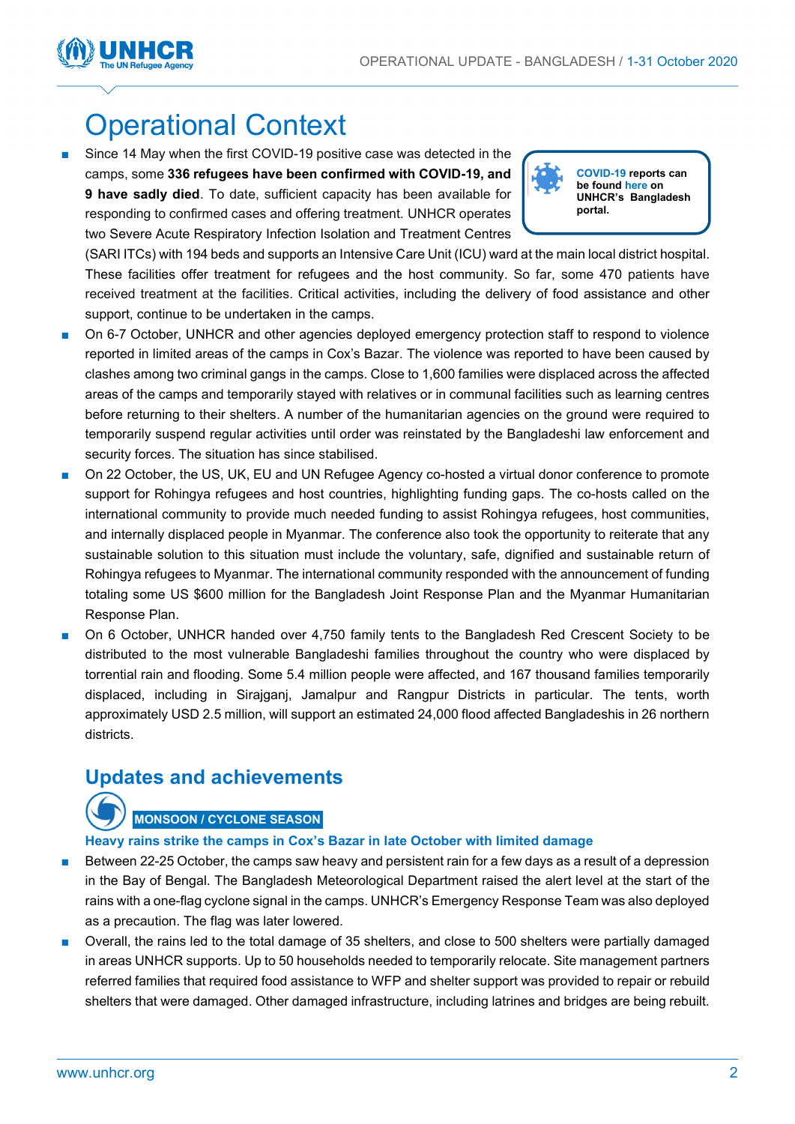

## Operational Context

Since 14 May when the first COVID-19 positive case was detected in the camps, some **336 refugees have been confirmed with COVID-19, and 9 have sadly died**. To date, sufficient capacity has been available for responding to confirmed cases and offering treatment. UNHCR operates two Severe Acute Respiratory Infection Isolation and Treatment Centres



(SARI ITCs) with 194 beds and supports an Intensive Care Unit (ICU) ward at the main local district hospital. These facilities offer treatment for refugees and the host community. So far, some 470 patients have received treatment at the facilities. Critical activities, including the delivery of food assistance and other support, continue to be undertaken in the camps.

- On 6-7 October, UNHCR and other agencies deployed emergency protection staff to respond to violence reported in limited areas of the camps in Cox's Bazar. The violence was reported to have been caused by clashes among two criminal gangs in the camps. Close to 1,600 families were displaced across the affected areas of the camps and temporarily stayed with relatives or in communal facilities such as learning centres before returning to their shelters. A number of the humanitarian agencies on the ground were required to temporarily suspend regular activities until order was reinstated by the Bangladeshi law enforcement and security forces. The situation has since stabilised.
- On 22 October, the US, UK, EU and UN Refugee Agency co-hosted a virtual donor conference to promote support for Rohingya refugees and host countries, highlighting funding gaps. The co-hosts called on the international community to provide much needed funding to assist Rohingya refugees, host communities, and internally displaced people in Myanmar. The conference also took the opportunity to reiterate that any sustainable solution to this situation must include the voluntary, safe, dignified and sustainable return of Rohingya refugees to Myanmar. The international community responded with the announcement of funding totaling some US \$600 million for the Bangladesh Joint Response Plan and the Myanmar Humanitarian Response Plan.
- On 6 October, UNHCR handed over 4,750 family tents to the Bangladesh Red Crescent Society to be distributed to the most vulnerable Bangladeshi families throughout the country who were displaced by torrential rain and flooding. Some 5.4 million people were affected, and 167 thousand families temporarily displaced, including in Sirajganj, Jamalpur and Rangpur Districts in particular. The tents, worth approximately USD 2.5 million, will support an estimated 24,000 flood affected Bangladeshis in 26 northern districts.

### **Updates and achievements**

#### **MONSOON / CYCLONE SEASON**

#### **Heavy rains strike the camps in Cox's Bazar in late October with limited damage**

- Between 22-25 October, the camps saw heavy and persistent rain for a few days as a result of a depression in the Bay of Bengal. The Bangladesh Meteorological Department raised the alert level at the start of the rains with a one-flag cyclone signal in the camps. UNHCR's Emergency Response Team was also deployed as a precaution. The flag was later lowered.
- Overall, the rains led to the total damage of 35 shelters, and close to 500 shelters were partially damaged in areas UNHCR supports. Up to 50 households needed to temporarily relocate. Site management partners referred families that required food assistance to WFP and shelter support was provided to repair or rebuild shelters that were damaged. Other damaged infrastructure, including latrines and bridges are being rebuilt.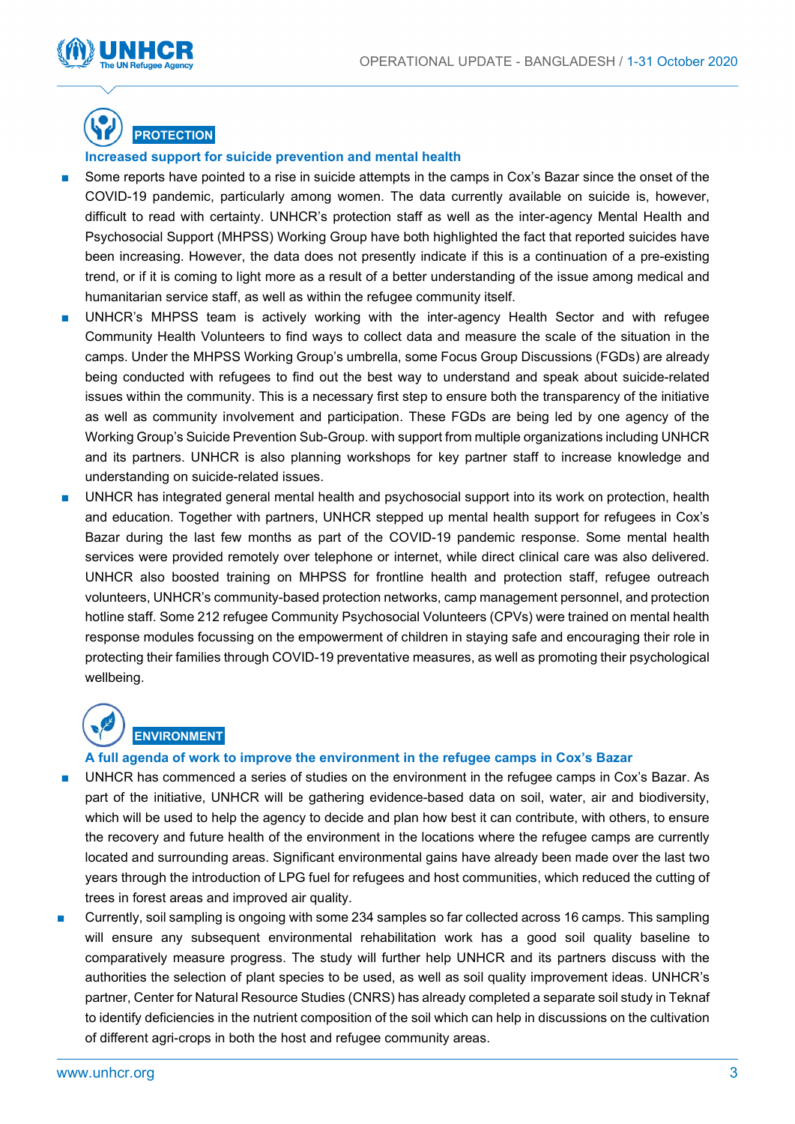



#### **Increased support for suicide prevention and mental health**

- Some reports have pointed to a rise in suicide attempts in the camps in Cox's Bazar since the onset of the COVID-19 pandemic, particularly among women. The data currently available on suicide is, however, difficult to read with certainty. UNHCR's protection staff as well as the inter-agency Mental Health and Psychosocial Support (MHPSS) Working Group have both highlighted the fact that reported suicides have been increasing. However, the data does not presently indicate if this is a continuation of a pre-existing trend, or if it is coming to light more as a result of a better understanding of the issue among medical and humanitarian service staff, as well as within the refugee community itself.
- UNHCR's MHPSS team is actively working with the inter-agency Health Sector and with refugee Community Health Volunteers to find ways to collect data and measure the scale of the situation in the camps. Under the MHPSS Working Group's umbrella, some Focus Group Discussions (FGDs) are already being conducted with refugees to find out the best way to understand and speak about suicide-related issues within the community. This is a necessary first step to ensure both the transparency of the initiative as well as community involvement and participation. These FGDs are being led by one agency of the Working Group's Suicide Prevention Sub-Group. with support from multiple organizations including UNHCR and its partners. UNHCR is also planning workshops for key partner staff to increase knowledge and understanding on suicide-related issues.
- UNHCR has integrated general mental health and psychosocial support into its work on protection, health and education. Together with partners, UNHCR stepped up mental health support for refugees in Cox's Bazar during the last few months as part of the COVID-19 pandemic response. Some mental health services were provided remotely over telephone or internet, while direct clinical care was also delivered. UNHCR also boosted training on MHPSS for frontline health and protection staff, refugee outreach volunteers, UNHCR's community-based protection networks, camp management personnel, and protection hotline staff. Some 212 refugee Community Psychosocial Volunteers (CPVs) were trained on mental health response modules focussing on the empowerment of children in staying safe and encouraging their role in protecting their families through COVID-19 preventative measures, as well as promoting their psychological wellbeing.

## **ENVIRONMENT**

#### **A full agenda of work to improve the environment in the refugee camps in Cox's Bazar**

- UNHCR has commenced a series of studies on the environment in the refugee camps in Cox's Bazar. As part of the initiative, UNHCR will be gathering evidence-based data on soil, water, air and biodiversity, which will be used to help the agency to decide and plan how best it can contribute, with others, to ensure the recovery and future health of the environment in the locations where the refugee camps are currently located and surrounding areas. Significant environmental gains have already been made over the last two years through the introduction of LPG fuel for refugees and host communities, which reduced the cutting of trees in forest areas and improved air quality.
- Currently, soil sampling is ongoing with some 234 samples so far collected across 16 camps. This sampling will ensure any subsequent environmental rehabilitation work has a good soil quality baseline to comparatively measure progress. The study will further help UNHCR and its partners discuss with the authorities the selection of plant species to be used, as well as soil quality improvement ideas. UNHCR's partner, Center for Natural Resource Studies (CNRS) has already completed a separate soil study in Teknaf to identify deficiencies in the nutrient composition of the soil which can help in discussions on the cultivation of different agri-crops in both the host and refugee community areas.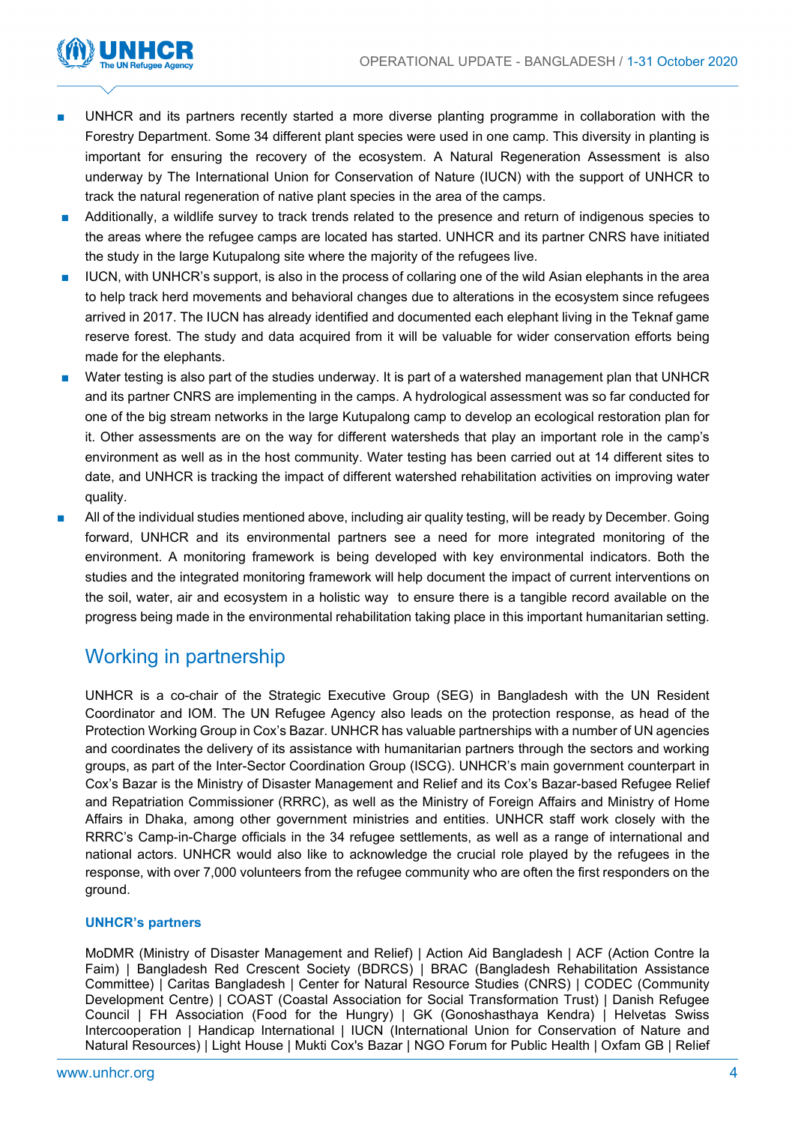

- UNHCR and its partners recently started a more diverse planting programme in collaboration with the Forestry Department. Some 34 different plant species were used in one camp. This diversity in planting is important for ensuring the recovery of the ecosystem. A Natural Regeneration Assessment is also underway by The International Union for Conservation of Nature (IUCN) with the support of UNHCR to track the natural regeneration of native plant species in the area of the camps.
- Additionally, a wildlife survey to track trends related to the presence and return of indigenous species to the areas where the refugee camps are located has started. UNHCR and its partner CNRS have initiated the study in the large Kutupalong site where the majority of the refugees live.
- IUCN, with UNHCR's support, is also in the process of collaring one of the wild Asian elephants in the area to help track herd movements and behavioral changes due to alterations in the ecosystem since refugees arrived in 2017. The IUCN has already identified and documented each elephant living in the Teknaf game reserve forest. The study and data acquired from it will be valuable for wider conservation efforts being made for the elephants.
- Water testing is also part of the studies underway. It is part of a watershed management plan that UNHCR and its partner CNRS are implementing in the camps. A hydrological assessment was so far conducted for one of the big stream networks in the large Kutupalong camp to develop an ecological restoration plan for it. Other assessments are on the way for different watersheds that play an important role in the camp's environment as well as in the host community. Water testing has been carried out at 14 different sites to date, and UNHCR is tracking the impact of different watershed rehabilitation activities on improving water quality.
- All of the individual studies mentioned above, including air quality testing, will be ready by December. Going forward, UNHCR and its environmental partners see a need for more integrated monitoring of the environment. A monitoring framework is being developed with key environmental indicators. Both the studies and the integrated monitoring framework will help document the impact of current interventions on the soil, water, air and ecosystem in a holistic way to ensure there is a tangible record available on the progress being made in the environmental rehabilitation taking place in this important humanitarian setting.

## Working in partnership

UNHCR is a co-chair of the Strategic Executive Group (SEG) in Bangladesh with the UN Resident Coordinator and IOM. The UN Refugee Agency also leads on the protection response, as head of the Protection Working Group in Cox's Bazar. UNHCR has valuable partnerships with a number of UN agencies and coordinates the delivery of its assistance with humanitarian partners through the sectors and working groups, as part of the Inter-Sector Coordination Group (ISCG). UNHCR's main government counterpart in Cox's Bazar is the Ministry of Disaster Management and Relief and its Cox's Bazar-based Refugee Relief and Repatriation Commissioner (RRRC), as well as the Ministry of Foreign Affairs and Ministry of Home Affairs in Dhaka, among other government ministries and entities. UNHCR staff work closely with the RRRC's Camp-in-Charge officials in the 34 refugee settlements, as well as a range of international and national actors. UNHCR would also like to acknowledge the crucial role played by the refugees in the response, with over 7,000 volunteers from the refugee community who are often the first responders on the ground.

#### **UNHCR's partners**

MoDMR (Ministry of Disaster Management and Relief) | Action Aid Bangladesh | ACF (Action Contre la Faim) | Bangladesh Red Crescent Society (BDRCS) | BRAC (Bangladesh Rehabilitation Assistance Committee) | Caritas Bangladesh | Center for Natural Resource Studies (CNRS) | CODEC (Community Development Centre) | COAST (Coastal Association for Social Transformation Trust) | Danish Refugee Council | FH Association (Food for the Hungry) | GK (Gonoshasthaya Kendra) | Helvetas Swiss Intercooperation | Handicap International | IUCN (International Union for Conservation of Nature and Natural Resources) | Light House | Mukti Cox's Bazar | NGO Forum for Public Health | Oxfam GB | Relief